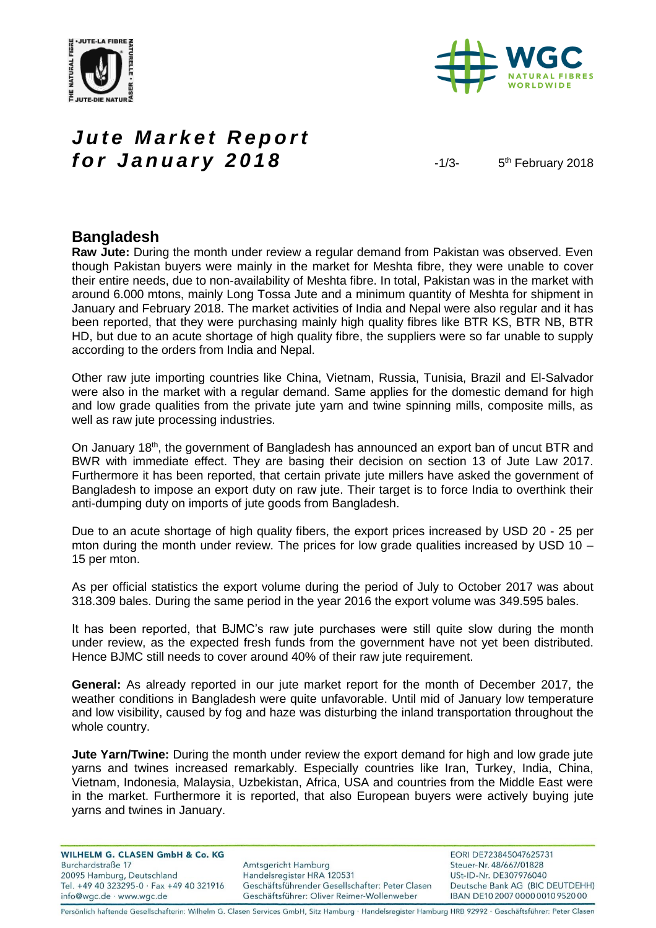



# *Jute Market Report for January 2018* 4/3-

5<sup>th</sup> February 2018

### **Bangladesh**

**Raw Jute:** During the month under review a regular demand from Pakistan was observed. Even though Pakistan buyers were mainly in the market for Meshta fibre, they were unable to cover their entire needs, due to non-availability of Meshta fibre. In total, Pakistan was in the market with around 6.000 mtons, mainly Long Tossa Jute and a minimum quantity of Meshta for shipment in January and February 2018. The market activities of India and Nepal were also regular and it has been reported, that they were purchasing mainly high quality fibres like BTR KS, BTR NB, BTR HD, but due to an acute shortage of high quality fibre, the suppliers were so far unable to supply according to the orders from India and Nepal.

Other raw jute importing countries like China, Vietnam, Russia, Tunisia, Brazil and El-Salvador were also in the market with a regular demand. Same applies for the domestic demand for high and low grade qualities from the private jute yarn and twine spinning mills, composite mills, as well as raw jute processing industries.

On January 18<sup>th</sup>, the government of Bangladesh has announced an export ban of uncut BTR and BWR with immediate effect. They are basing their decision on section 13 of Jute Law 2017. Furthermore it has been reported, that certain private jute millers have asked the government of Bangladesh to impose an export duty on raw jute. Their target is to force India to overthink their anti-dumping duty on imports of jute goods from Bangladesh.

Due to an acute shortage of high quality fibers, the export prices increased by USD 20 - 25 per mton during the month under review. The prices for low grade qualities increased by USD 10 – 15 per mton.

As per official statistics the export volume during the period of July to October 2017 was about 318.309 bales. During the same period in the year 2016 the export volume was 349.595 bales.

It has been reported, that BJMC's raw jute purchases were still quite slow during the month under review, as the expected fresh funds from the government have not yet been distributed. Hence BJMC still needs to cover around 40% of their raw jute requirement.

**General:** As already reported in our jute market report for the month of December 2017, the weather conditions in Bangladesh were quite unfavorable. Until mid of January low temperature and low visibility, caused by fog and haze was disturbing the inland transportation throughout the whole country.

**Jute Yarn/Twine:** During the month under review the export demand for high and low grade jute yarns and twines increased remarkably. Especially countries like Iran, Turkey, India, China, Vietnam, Indonesia, Malaysia, Uzbekistan, Africa, USA and countries from the Middle East were in the market. Furthermore it is reported, that also European buyers were actively buying jute yarns and twines in January.

**WILHELM G. CLASEN GmbH & Co. KG** Burchardstraße 17 20095 Hamburg, Deutschland Tel. +49 40 323295-0 · Fax +49 40 321916 info@wgc.de · www.wgc.de

Amtsgericht Hamburg Handelsregister HRA 120531 Geschäftsführender Gesellschafter: Peter Clasen Geschäftsführer: Oliver Reimer-Wollenweber

EORI DE723845047625731 Steuer-Nr. 48/667/01828 USt-ID-Nr. DE307976040 Deutsche Bank AG (BIC DEUTDEHH) IBAN DE10 2007 0000 0010 9520 00

Persönlich haftende Gesellschafterin: Wilhelm G. Clasen Services GmbH, Sitz Hamburg · Handelsregister Hamburg HRB 92992 · Geschäftsführer: Peter Clasen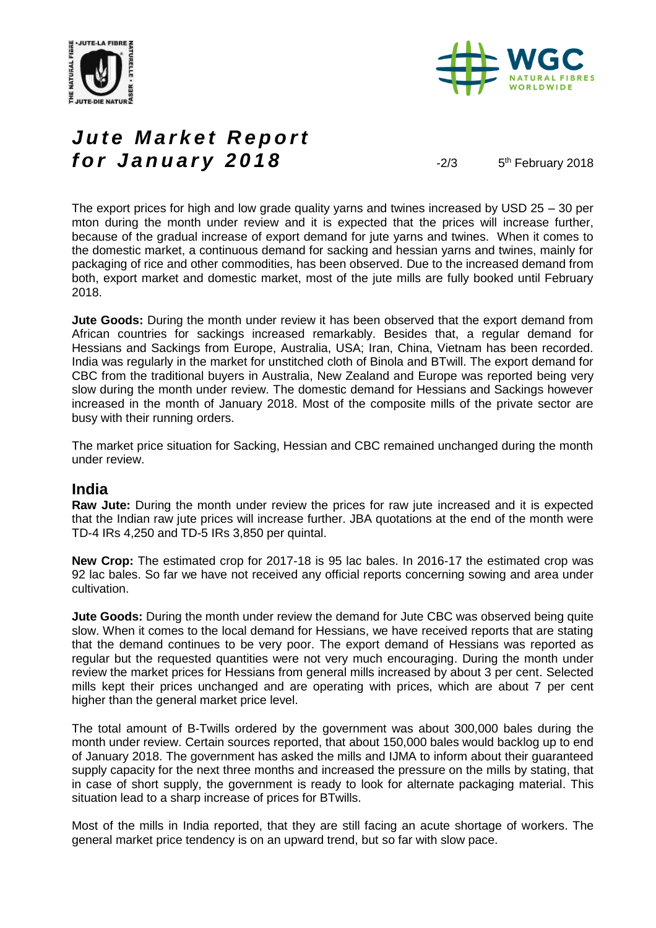



# *Jute Market Report for January 2018*  $\frac{2}{3}$

5<sup>th</sup> February 2018

The export prices for high and low grade quality yarns and twines increased by USD 25 – 30 per mton during the month under review and it is expected that the prices will increase further, because of the gradual increase of export demand for jute yarns and twines. When it comes to the domestic market, a continuous demand for sacking and hessian yarns and twines, mainly for packaging of rice and other commodities, has been observed. Due to the increased demand from both, export market and domestic market, most of the jute mills are fully booked until February 2018.

**Jute Goods:** During the month under review it has been observed that the export demand from African countries for sackings increased remarkably. Besides that, a regular demand for Hessians and Sackings from Europe, Australia, USA; Iran, China, Vietnam has been recorded. India was regularly in the market for unstitched cloth of Binola and BTwill. The export demand for CBC from the traditional buyers in Australia, New Zealand and Europe was reported being very slow during the month under review. The domestic demand for Hessians and Sackings however increased in the month of January 2018. Most of the composite mills of the private sector are busy with their running orders.

The market price situation for Sacking, Hessian and CBC remained unchanged during the month under review.

#### **India**

**Raw Jute:** During the month under review the prices for raw jute increased and it is expected that the Indian raw jute prices will increase further. JBA quotations at the end of the month were TD-4 IRs 4,250 and TD-5 IRs 3,850 per quintal.

**New Crop:** The estimated crop for 2017-18 is 95 lac bales. In 2016-17 the estimated crop was 92 lac bales. So far we have not received any official reports concerning sowing and area under cultivation.

**Jute Goods:** During the month under review the demand for Jute CBC was observed being quite slow. When it comes to the local demand for Hessians, we have received reports that are stating that the demand continues to be very poor. The export demand of Hessians was reported as regular but the requested quantities were not very much encouraging. During the month under review the market prices for Hessians from general mills increased by about 3 per cent. Selected mills kept their prices unchanged and are operating with prices, which are about 7 per cent higher than the general market price level.

The total amount of B-Twills ordered by the government was about 300,000 bales during the month under review. Certain sources reported, that about 150,000 bales would backlog up to end of January 2018. The government has asked the mills and IJMA to inform about their guaranteed supply capacity for the next three months and increased the pressure on the mills by stating, that in case of short supply, the government is ready to look for alternate packaging material. This situation lead to a sharp increase of prices for BTwills.

Most of the mills in India reported, that they are still facing an acute shortage of workers. The general market price tendency is on an upward trend, but so far with slow pace.